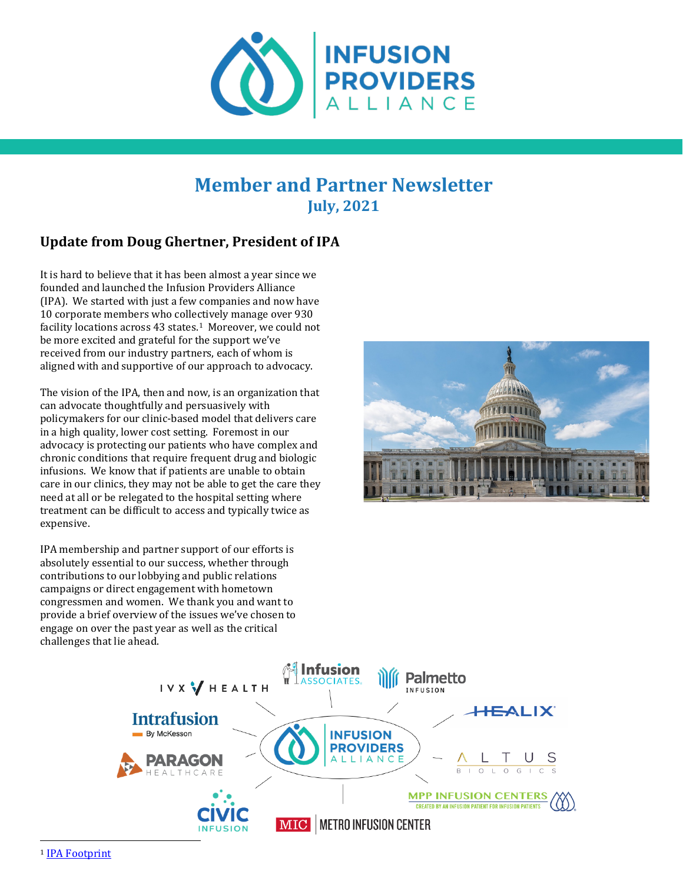

# **Member and Partner Newsletter July, 2021**

# **Update from Doug Ghertner, President of IPA**

It is hard to believe that it has been almost a year since we founded and launched the Infusion Providers Alliance (IPA). We started with just a few companies and now have 10 corporate members who collectively manage over 930 facility locations across 43 states.<sup>[1](#page-0-0)</sup> Moreover, we could not be more excited and grateful for the support we've received from our industry partners, each of whom is aligned with and supportive of our approach to advocacy.

The vision of the IPA, then and now, is an organization that can advocate thoughtfully and persuasively with policymakers for our clinic-based model that delivers care in a high quality, lower cost setting. Foremost in our advocacy is protecting our patients who have complex and chronic conditions that require frequent drug and biologic infusions. We know that if patients are unable to obtain care in our clinics, they may not be able to get the care they need at all or be relegated to the hospital setting where treatment can be difficult to access and typically twice as expensive.

IPA membership and partner support of our efforts is absolutely essential to our success, whether through contributions to our lobbying and public relations campaigns or direct engagement with hometown congressmen and women. We thank you and want to provide a brief overview of the issues we've chosen to engage on over the past year as well as the critical challenges that lie ahead.



<span id="page-0-0"></span>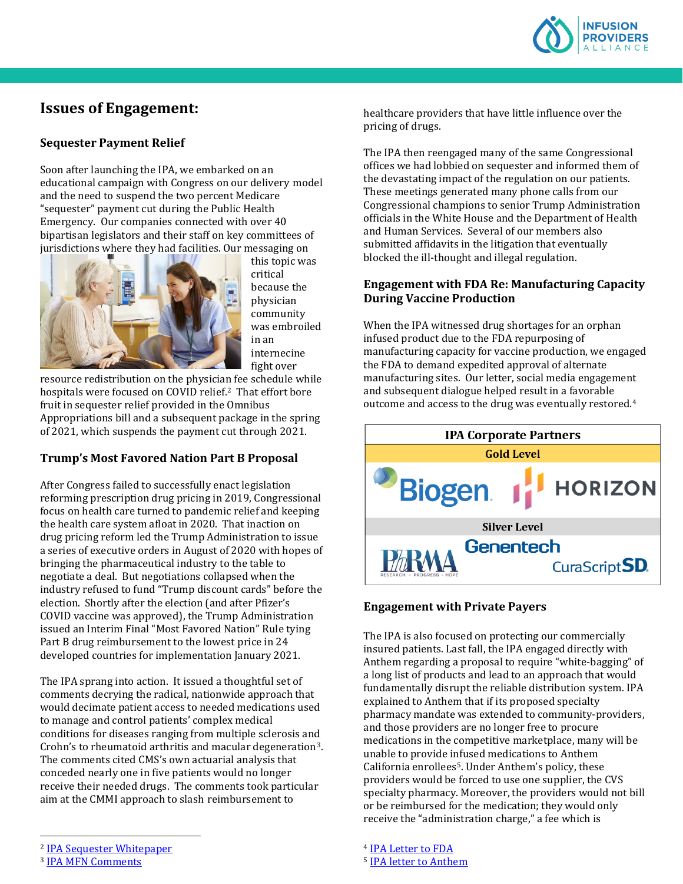

# **Issues of Engagement:**

### **Sequester Payment Relief**

Soon after launching the IPA, we embarked on an educational campaign with Congress on our delivery model and the need to suspend the two percent Medicare "sequester" payment cut during the Public Health Emergency. Our companies connected with over 40 bipartisan legislators and their staff on key committees of jurisdictions where they had facilities. Our messaging on



this topic was critical because the physician community was embroiled in an internecine fight over

resource redistribution on the physician fee schedule while hospitals were focused on COVID relief.<sup>2</sup> That effort bore fruit in sequester relief provided in the Omnibus Appropriations bill and a subsequent package in the spring of 2021, which suspends the payment cut through 2021.

## **Trump's Most Favored Nation Part B Proposal**

After Congress failed to successfully enact legislation reforming prescription drug pricing in 2019, Congressional focus on health care turned to pandemic relief and keeping the health care system afloat in 2020. That inaction on drug pricing reform led the Trump Administration to issue a series of executive orders in August of 2020 with hopes of bringing the pharmaceutical industry to the table to negotiate a deal. But negotiations collapsed when the industry refused to fund "Trump discount cards" before the election. Shortly after the election (and after Pfizer's COVID vaccine was approved), the Trump Administration issued an Interim Final "Most Favored Nation" Rule tying Part B drug reimbursement to the lowest price in 24 developed countries for implementation January 2021.

The IPA sprang into action. It issued a thoughtful set of comments decrying the radical, nationwide approach that would decimate patient access to needed medications used to manage and control patients' complex medical conditions for diseases ranging from multiple sclerosis and Crohn's to rheumatoid arthritis and macular degeneration[3](#page-1-1). The comments cited CMS's own actuarial analysis that conceded nearly one in five patients would no longer receive their needed drugs. The comments took particular aim at the CMMI approach to slash reimbursement to

healthcare providers that have little influence over the pricing of drugs.

The IPA then reengaged many of the same Congressional offices we had lobbied on sequester and informed them of the devastating impact of the regulation on our patients. These meetings generated many phone calls from our Congressional champions to senior Trump Administration officials in the White House and the Department of Health and Human Services. Several of our members also submitted affidavits in the litigation that eventually blocked the ill-thought and illegal regulation.

### **Engagement with FDA Re: Manufacturing Capacity During Vaccine Production**

When the IPA witnessed drug shortages for an orphan infused product due to the FDA repurposing of manufacturing capacity for vaccine production, we engaged the FDA to demand expedited approval of alternate manufacturing sites. Our letter, social media engagement and subsequent dialogue helped result in a favorable outcome and access to the drug was eventually restored.[4](#page-1-0)



#### **Engagement with Private Payers**

The IPA is also focused on protecting our commercially insured patients. Last fall, the IPA engaged directly with Anthem regarding a proposal to require "white-bagging" of a long list of products and lead to an approach that would fundamentally disrupt the reliable distribution system. IPA explained to Anthem that if its proposed specialty pharmacy mandate was extended to community-providers, and those providers are no longer free to procure medications in the competitive marketplace, many will be unable to provide infused medications to Anthem California enrollees<sup>5</sup>. Under Anthem's policy, these providers would be forced to use one supplier, the CVS specialty pharmacy. Moreover, the providers would not bill or be reimbursed for the medication; they would only receive the "administration charge," a fee which is

<sup>4</sup> [IPA Letter to FDA](file://EgnyteDrive/mcmanusgrp/Private/awhalen/Clients/IPA/Newsletter/IPA%20Letter%20to%20FDA%20on%20Tepezza%20FINAL2.pdf) <sup>5</sup> [IPA letter to Anthem](https://www.infusionprovidersalliance.org/wp-content/uploads/2020/11/IPA-Letter-to-Anthem.pdf)

<span id="page-1-0"></span><sup>2</sup> [IPA Sequester Whitepaper](https://www.infusionprovidersalliance.org/congress-should-continue-suspension-of-medicare-sequester/)

<span id="page-1-1"></span><sup>3</sup> [IPA MFN Comments](https://www.infusionprovidersalliance.org/wp-content/uploads/2021/01/IPA-Comments-on-MFN-FINAL-Revised.pdf)